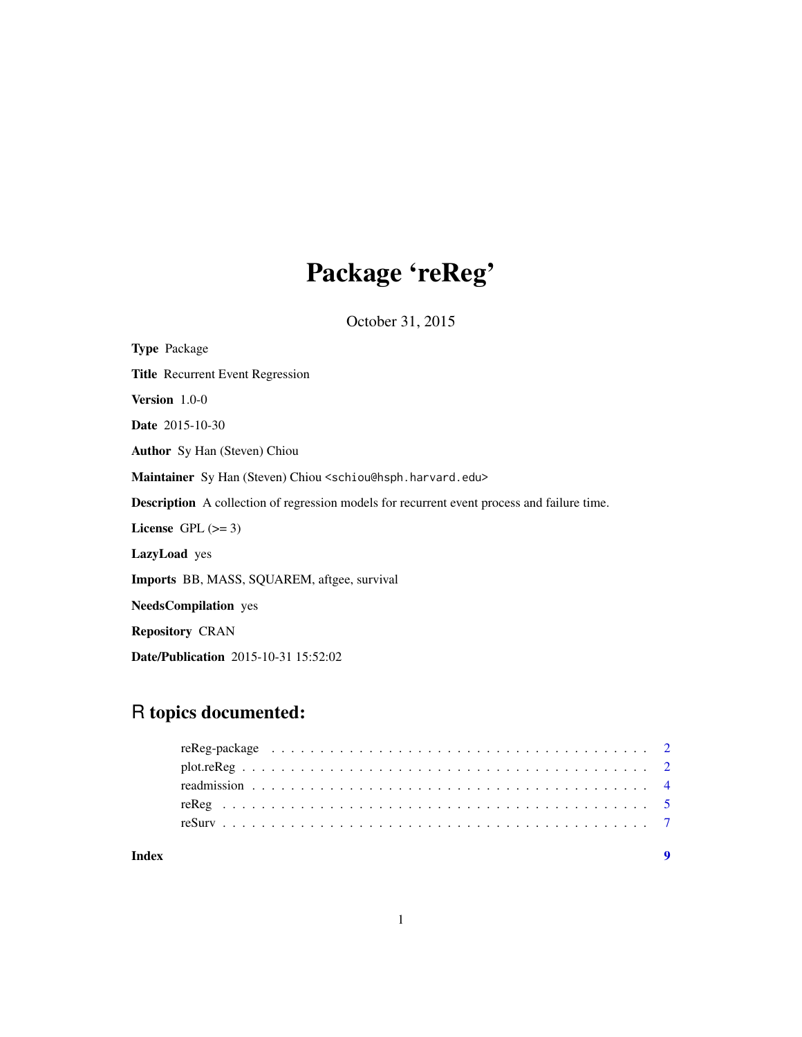## Package 'reReg'

October 31, 2015

| <b>Type</b> Package                                                                                |  |
|----------------------------------------------------------------------------------------------------|--|
| Title Recurrent Event Regression                                                                   |  |
| Version $1.0-0$                                                                                    |  |
| <b>Date</b> 2015-10-30                                                                             |  |
| <b>Author</b> Sy Han (Steven) Chiou                                                                |  |
| Maintainer Sy Han (Steven) Chiou <schiou@hsph.harvard.edu></schiou@hsph.harvard.edu>               |  |
| <b>Description</b> A collection of regression models for recurrent event process and failure time. |  |
| License $GPL \, (>= 3)$                                                                            |  |
| LazyLoad yes                                                                                       |  |
| <b>Imports</b> BB, MASS, SQUAREM, aftgee, survival                                                 |  |
| <b>NeedsCompilation</b> yes                                                                        |  |
| <b>Repository CRAN</b>                                                                             |  |
| <b>Date/Publication</b> 2015-10-31 15:52:02                                                        |  |

### R topics documented:

| Index |  |
|-------|--|
|       |  |
|       |  |
|       |  |
|       |  |
|       |  |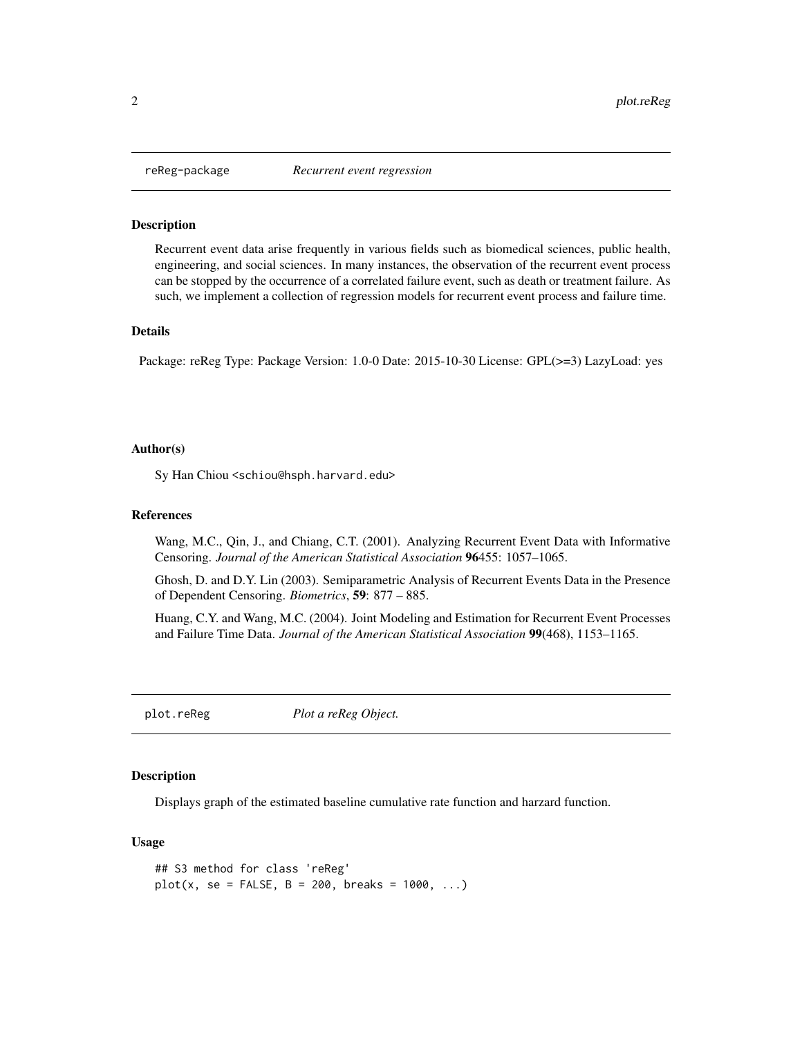<span id="page-1-0"></span>

#### Description

Recurrent event data arise frequently in various fields such as biomedical sciences, public health, engineering, and social sciences. In many instances, the observation of the recurrent event process can be stopped by the occurrence of a correlated failure event, such as death or treatment failure. As such, we implement a collection of regression models for recurrent event process and failure time.

#### Details

Package: reReg Type: Package Version: 1.0-0 Date: 2015-10-30 License: GPL(>=3) LazyLoad: yes

#### Author(s)

Sy Han Chiou <schiou@hsph.harvard.edu>

#### References

Wang, M.C., Qin, J., and Chiang, C.T. (2001). Analyzing Recurrent Event Data with Informative Censoring. *Journal of the American Statistical Association* 96455: 1057–1065.

Ghosh, D. and D.Y. Lin (2003). Semiparametric Analysis of Recurrent Events Data in the Presence of Dependent Censoring. *Biometrics*, 59: 877 – 885.

Huang, C.Y. and Wang, M.C. (2004). Joint Modeling and Estimation for Recurrent Event Processes and Failure Time Data. *Journal of the American Statistical Association* 99(468), 1153–1165.

<span id="page-1-1"></span>plot.reReg *Plot a reReg Object.*

#### Description

Displays graph of the estimated baseline cumulative rate function and harzard function.

#### Usage

```
## S3 method for class 'reReg'
plot(x, se = FALSE, B = 200, breaks = 1000, ...)
```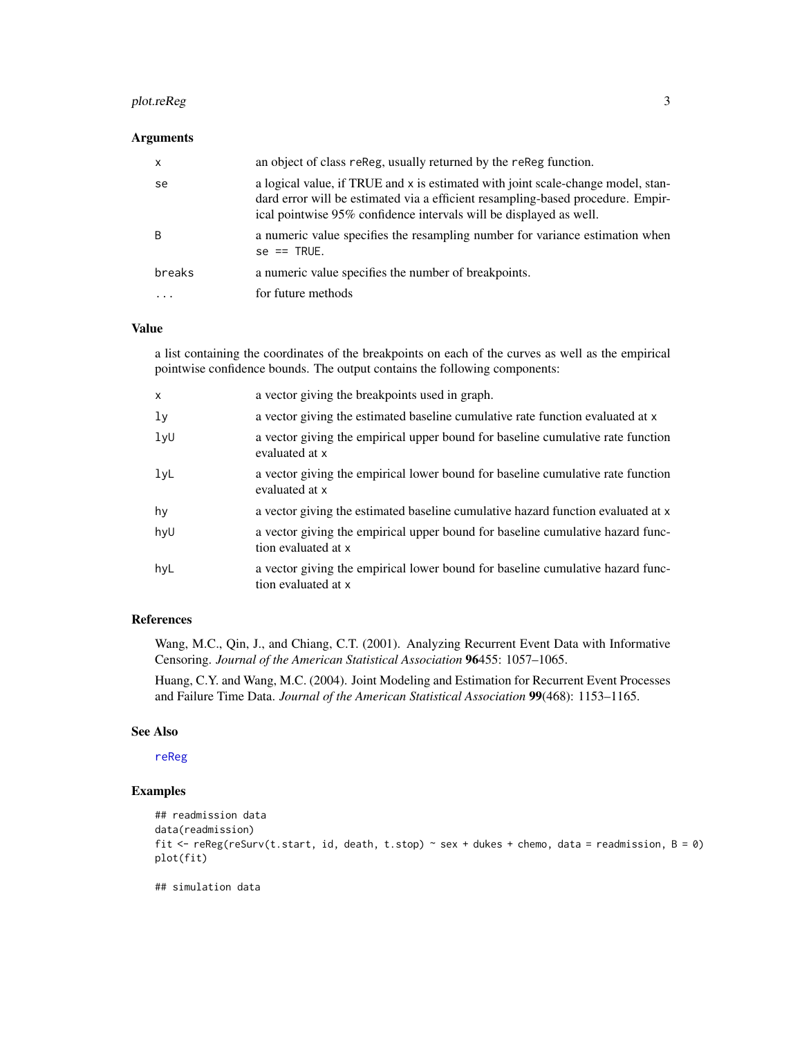#### <span id="page-2-0"></span>plot.reReg 3

#### Arguments

| $\mathsf{x}$ | an object of class reReg, usually returned by the reReg function.                                                                                                                                                                         |
|--------------|-------------------------------------------------------------------------------------------------------------------------------------------------------------------------------------------------------------------------------------------|
| se           | a logical value, if TRUE and x is estimated with joint scale-change model, stan-<br>dard error will be estimated via a efficient resampling-based procedure. Empir-<br>ical pointwise 95% confidence intervals will be displayed as well. |
| -B           | a numeric value specifies the resampling number for variance estimation when<br>$se == TRUE.$                                                                                                                                             |
| breaks       | a numeric value specifies the number of breakpoints.                                                                                                                                                                                      |
|              | for future methods                                                                                                                                                                                                                        |

#### Value

a list containing the coordinates of the breakpoints on each of the curves as well as the empirical pointwise confidence bounds. The output contains the following components:

| $\mathsf{x}$   | a vector giving the breakpoints used in graph.                                                        |
|----------------|-------------------------------------------------------------------------------------------------------|
| 1 <sub>y</sub> | a vector giving the estimated baseline cumulative rate function evaluated at x                        |
| 1yU            | a vector giving the empirical upper bound for baseline cumulative rate function<br>evaluated at x     |
| 1yL            | a vector giving the empirical lower bound for baseline cumulative rate function<br>evaluated at x     |
| hy             | a vector giving the estimated baseline cumulative hazard function evaluated at x                      |
| hyU            | a vector giving the empirical upper bound for baseline cumulative hazard func-<br>tion evaluated at x |
| hyL            | a vector giving the empirical lower bound for baseline cumulative hazard func-<br>tion evaluated at x |

#### References

Wang, M.C., Qin, J., and Chiang, C.T. (2001). Analyzing Recurrent Event Data with Informative Censoring. *Journal of the American Statistical Association* 96455: 1057–1065.

Huang, C.Y. and Wang, M.C. (2004). Joint Modeling and Estimation for Recurrent Event Processes and Failure Time Data. *Journal of the American Statistical Association* 99(468): 1153–1165.

#### See Also

[reReg](#page-4-1)

#### Examples

```
## readmission data
data(readmission)
fit <- reReg(reSurv(t.start, id, death, t.stop) ~ sex + dukes + chemo, data = readmission, B = 0)
plot(fit)
```
## simulation data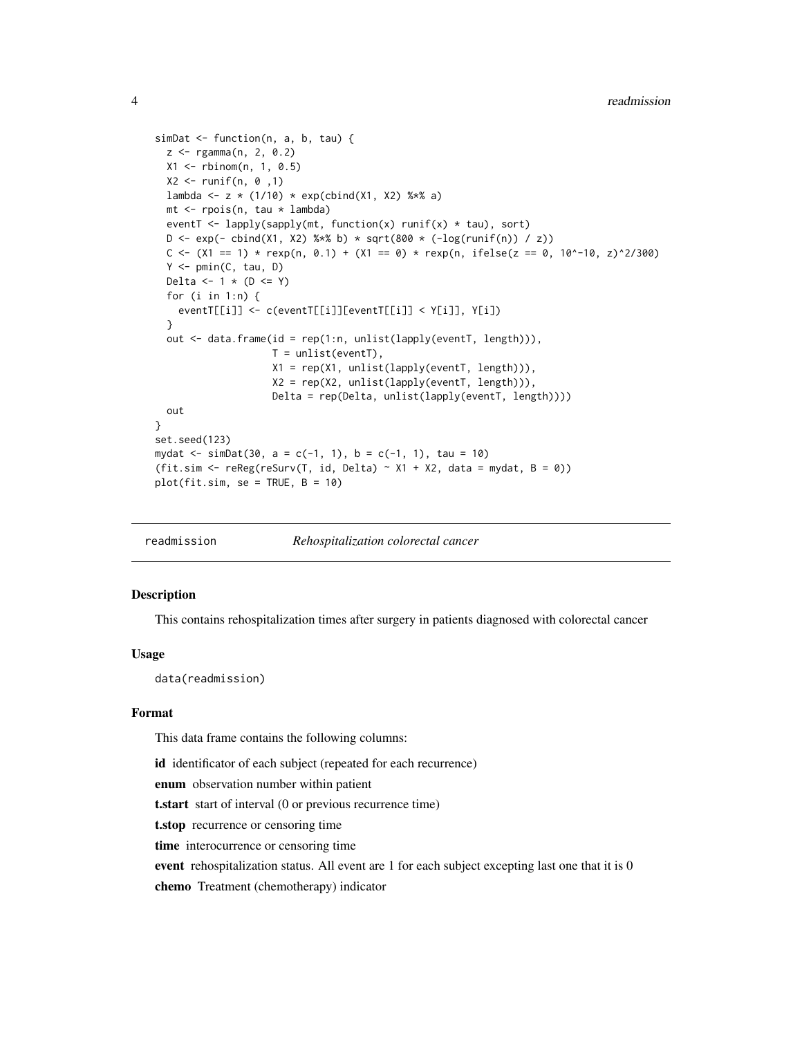```
simDat <- function(n, a, b, tau) {
  z <- rgamma(n, 2, 0.2)
  X1 <- rbinom(n, 1, 0.5)
  X2 \le- runif(n, 0,1)
  lambda <- z * (1/10) * exp(cbind(X1, X2) %*% a)
  mt <- rpois(n, tau * lambda)
  eventT <- lapply(sapply(mt, function(x) runif(x) * tau), sort)
  D \leq - \exp(- \text{cbind}(X1, X2) %*% b) * sqrt(800 * (-log(runif(n)) / z))
  C \leq (x_1 - x_2) + \text{resp}(n, 0.1) + (x_1 - x_2) + \text{resp}(n, 1) + \text{resp}(n, 2) + \text{resp}(n, 3) + \text{resp}(n, 1) + \text{resp}(n, 1) + \text{resp}(n, 1) + \text{resp}(n, 1) + \text{resp}(n, 1) + \text{resp}(n, 1) + \text{resp}(n, 1) + \text{resp}(n, 1) + \text{resp}(n, 1) + \text{resp}(n, 1) + \text{resp}(n, 1) + \text{resp}(n, 1) + \text{resp}(n, 1) + \text{resp}(n,Y \leq -pmin(C, tau, D)Delta \leftarrow 1 * (D \leftarrow Y)
  for (i in 1:n) {
     eventT[[i]] <- c(eventT[[i]][eventT[[i]] < Y[i]], Y[i])
  \lambdaout <- data.frame(id = rep(1:n, unlist(lapply(eventT, length))),
                           T = unlist(eventT),
                           X1 = rep(X1, unlist(lapply(eventT, length))),
                           X2 = rep(X2, unlist(lapply(eventT, length))),
                           Delta = rep(Delta, unlist(lapply(eventT, length))))
  out
}
set.seed(123)
mydat <- simDat(30, a = c(-1, 1), b = c(-1, 1), tau = 10)
(fit.sim <- reReg(reSurv(T, id, Delta) ~ X1 + X2, data = mydat, B = 0))
plot(fit.sim, se = TRUE, B = 10)
```

| Rehospitalization colorectal cancer<br>readmission |
|----------------------------------------------------|
|----------------------------------------------------|

#### Description

This contains rehospitalization times after surgery in patients diagnosed with colorectal cancer

#### Usage

data(readmission)

#### Format

This data frame contains the following columns:

id identificator of each subject (repeated for each recurrence)

enum observation number within patient

t.start start of interval (0 or previous recurrence time)

t.stop recurrence or censoring time

time interocurrence or censoring time

event rehospitalization status. All event are 1 for each subject excepting last one that it is 0

chemo Treatment (chemotherapy) indicator

<span id="page-3-0"></span>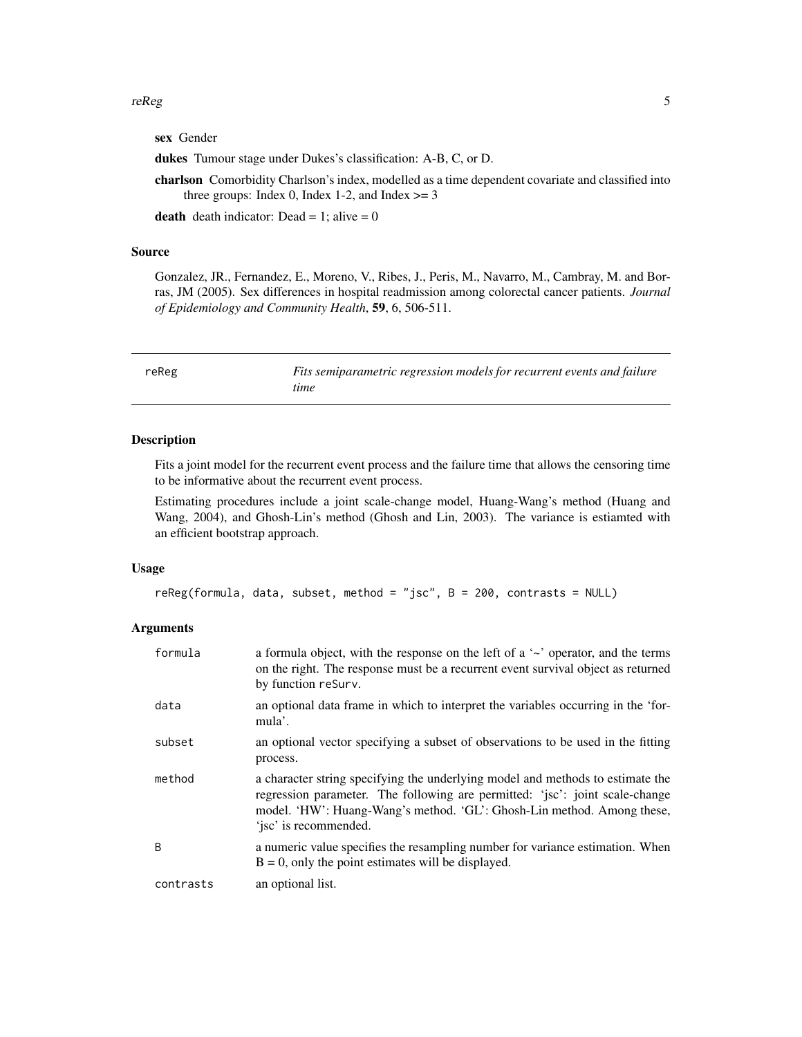#### <span id="page-4-0"></span> $r = r$  re $Reg$  5

sex Gender

dukes Tumour stage under Dukes's classification: A-B, C, or D.

charlson Comorbidity Charlson's index, modelled as a time dependent covariate and classified into three groups: Index 0, Index 1-2, and Index  $>= 3$ 

death death indicator: Dead = 1; alive =  $0$ 

#### Source

Gonzalez, JR., Fernandez, E., Moreno, V., Ribes, J., Peris, M., Navarro, M., Cambray, M. and Borras, JM (2005). Sex differences in hospital readmission among colorectal cancer patients. *Journal of Epidemiology and Community Health*, 59, 6, 506-511.

<span id="page-4-1"></span>

| reReg | Fits semiparametric regression models for recurrent events and failure |
|-------|------------------------------------------------------------------------|
|       | time                                                                   |

#### Description

Fits a joint model for the recurrent event process and the failure time that allows the censoring time to be informative about the recurrent event process.

Estimating procedures include a joint scale-change model, Huang-Wang's method (Huang and Wang, 2004), and Ghosh-Lin's method (Ghosh and Lin, 2003). The variance is estiamted with an efficient bootstrap approach.

#### Usage

```
reReg(formula, data, subset, method = "jsc", B = 200, contrasts = NULL)
```
#### Arguments

| formula   | a formula object, with the response on the left of a $\sim$ operator, and the terms<br>on the right. The response must be a recurrent event survival object as returned<br>by function reSurv.                                                                    |
|-----------|-------------------------------------------------------------------------------------------------------------------------------------------------------------------------------------------------------------------------------------------------------------------|
| data      | an optional data frame in which to interpret the variables occurring in the 'for-<br>mula'.                                                                                                                                                                       |
| subset    | an optional vector specifying a subset of observations to be used in the fitting<br>process.                                                                                                                                                                      |
| method    | a character string specifying the underlying model and methods to estimate the<br>regression parameter. The following are permitted: 'jsc': joint scale-change<br>model. 'HW': Huang-Wang's method. 'GL': Ghosh-Lin method. Among these,<br>'isc' is recommended. |
| B         | a numeric value specifies the resampling number for variance estimation. When<br>$B = 0$ , only the point estimates will be displayed.                                                                                                                            |
| contrasts | an optional list.                                                                                                                                                                                                                                                 |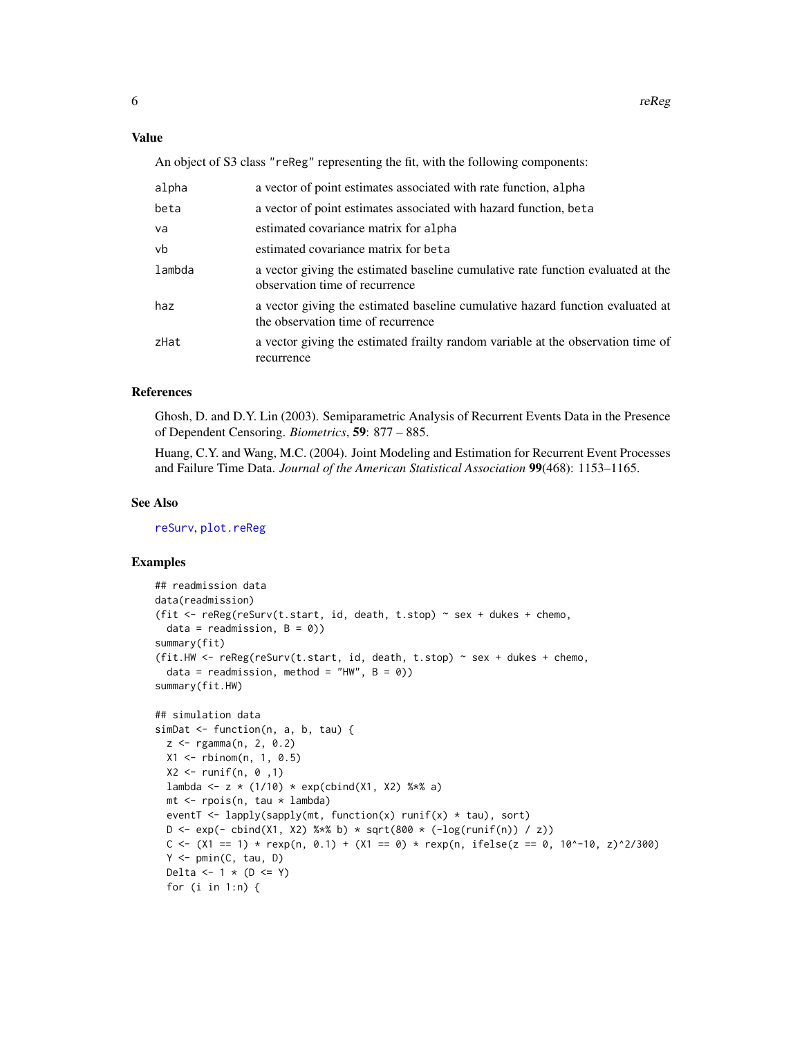#### <span id="page-5-0"></span>Value

An object of S3 class "reReg" representing the fit, with the following components:

| alpha  | a vector of point estimates associated with rate function, alpha                                                     |
|--------|----------------------------------------------------------------------------------------------------------------------|
| beta   | a vector of point estimates associated with hazard function, beta                                                    |
| va     | estimated covariance matrix for alpha                                                                                |
| vb     | estimated covariance matrix for beta                                                                                 |
| lambda | a vector giving the estimated baseline cumulative rate function evaluated at the<br>observation time of recurrence   |
| haz    | a vector giving the estimated baseline cumulative hazard function evaluated at<br>the observation time of recurrence |
| zHat   | a vector giving the estimated frailty random variable at the observation time of<br>recurrence                       |

#### References

Ghosh, D. and D.Y. Lin (2003). Semiparametric Analysis of Recurrent Events Data in the Presence of Dependent Censoring. *Biometrics*, 59: 877 – 885.

Huang, C.Y. and Wang, M.C. (2004). Joint Modeling and Estimation for Recurrent Event Processes and Failure Time Data. *Journal of the American Statistical Association* 99(468): 1153–1165.

#### See Also

[reSurv](#page-6-1), [plot.reReg](#page-1-1)

#### Examples

```
## readmission data
data(readmission)
(fit \leq reReg(reSurv(t.start, id, death, t.stop) \sim sex + dukes + chemo,
   data = readmission, B = 0)summary(fit)
(fit.HW <- reReg(reSurv(t.start, id, death, t.stop) ~ sex + dukes + chemo,
   data = readmission, method = "HW", B = 0))
summary(fit.HW)
## simulation data
simDat <- function(n, a, b, tau) {
   z \leq - rgamma(n, 2, 0.2)
   X1 <- rbinom(n, 1, 0.5)
   X2 \le runif(n, 0, 1)
   lambda <- z * (1/10) * exp(cbind(X1, X2) %*% a)
   mt < - rpois(n, tau * lambda)
   eventT <- lapply(sapply(mt, function(x) runif(x) * tau), sort)
   D \leq - \exp(- \text{cbind}(X1, X2) \times \text{sc} \cdot \text{b}) \times \sqrt{(\text{sec}(XX) \cdot \text{c} \cdot \text{c} \cdot \text{c} \cdot \text{c} \cdot \text{c} \cdot \text{c} \cdot \text{c} \cdot \text{d} \cdot \text{c} \cdot \text{c} \cdot \text{d} \cdot \text{c} \cdot \text{d} \cdot \text{d} \cdot \text{c} \cdot \text{d} \cdot \text{c} \cdot \text{d} \cdot \text{d} \cdot \text{e} \cdot \text{c} \cdot \text{d} \cdot \text{c} \cdot \text{d} \cdot \text{C \leq (x_1 - x_2) + \text{resp}(n, 0.1) + (x_1 - x_2) + \text{resp}(n, 1) + \text{resp}(n, 2) + \text{resp}(n, 3) + \text{resp}(n, 1) + \text{resp}(n, 1) + \text{resp}(n, 1) + \text{resp}(n, 1) + \text{resp}(n, 1) + \text{resp}(n, 1) + \text{resp}(n, 1) + \text{resp}(n, 1) + \text{resp}(n, 1) + \text{resp}(n, 1) + \text{resp}(n, 1) + \text{resp}(n, 1) + \text{resp}(n, 1) + \text{resp}(n,Y <- pmin(C, tau, D)
   Delta \leftarrow 1 * (D \leftarrow Y)
   for (i in 1:n) {
```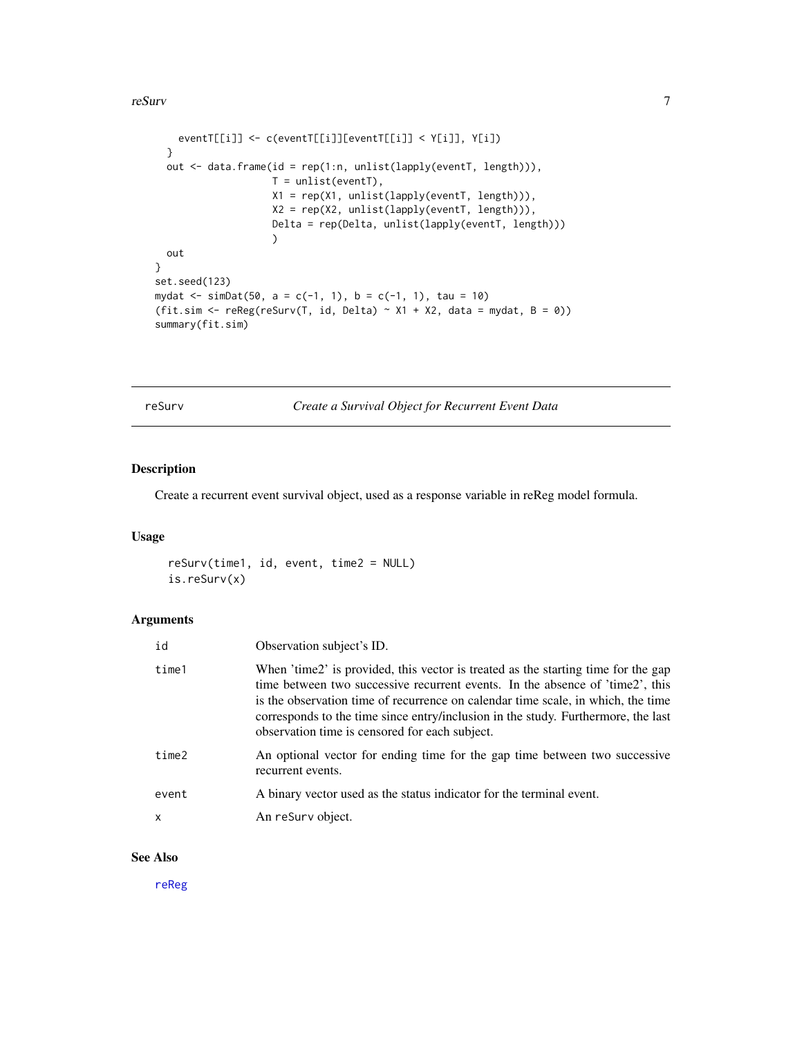#### <span id="page-6-0"></span>reSurv 7

```
eventT[[i]] <- c(eventT[[i]][eventT[[i]] < Y[i]], Y[i])
  }
  out <- data.frame(id = rep(1:n, unlist(lapply(eventT, length))),
                    T = \text{unlist}(\text{eventT}),X1 = rep(X1, unlist(lapply(eventT, length))),
                    X2 = rep(X2, unlist(lapply(eventT, length))),
                    Delta = rep(Delta, unlist(lapply(eventT, length)))
                    )
  out
}
set.seed(123)
mydat <- simDat(50, a = c(-1, 1), b = c(-1, 1), tau = 10)
(fit.sim <- reReg(reSurv(T, id, Delta) ~ X1 + X2, data = mydat, B = 0))
summary(fit.sim)
```
<span id="page-6-1"></span>reSurv *Create a Survival Object for Recurrent Event Data*

#### Description

Create a recurrent event survival object, used as a response variable in reReg model formula.

#### Usage

reSurv(time1, id, event, time2 = NULL) is.reSurv(x)

#### Arguments

| id    | Observation subject's ID.                                                                                                                                                                                                                                                                                                                                                                     |
|-------|-----------------------------------------------------------------------------------------------------------------------------------------------------------------------------------------------------------------------------------------------------------------------------------------------------------------------------------------------------------------------------------------------|
| time1 | When 'time2' is provided, this vector is treated as the starting time for the gap<br>time between two successive recurrent events. In the absence of 'time2', this<br>is the observation time of recurrence on calendar time scale, in which, the time<br>corresponds to the time since entry/inclusion in the study. Furthermore, the last<br>observation time is censored for each subject. |
| time2 | An optional vector for ending time for the gap time between two successive<br>recurrent events.                                                                                                                                                                                                                                                                                               |
| event | A binary vector used as the status indicator for the terminal event.                                                                                                                                                                                                                                                                                                                          |
| x     | An reSurv object.                                                                                                                                                                                                                                                                                                                                                                             |
|       |                                                                                                                                                                                                                                                                                                                                                                                               |

#### See Also

[reReg](#page-4-1)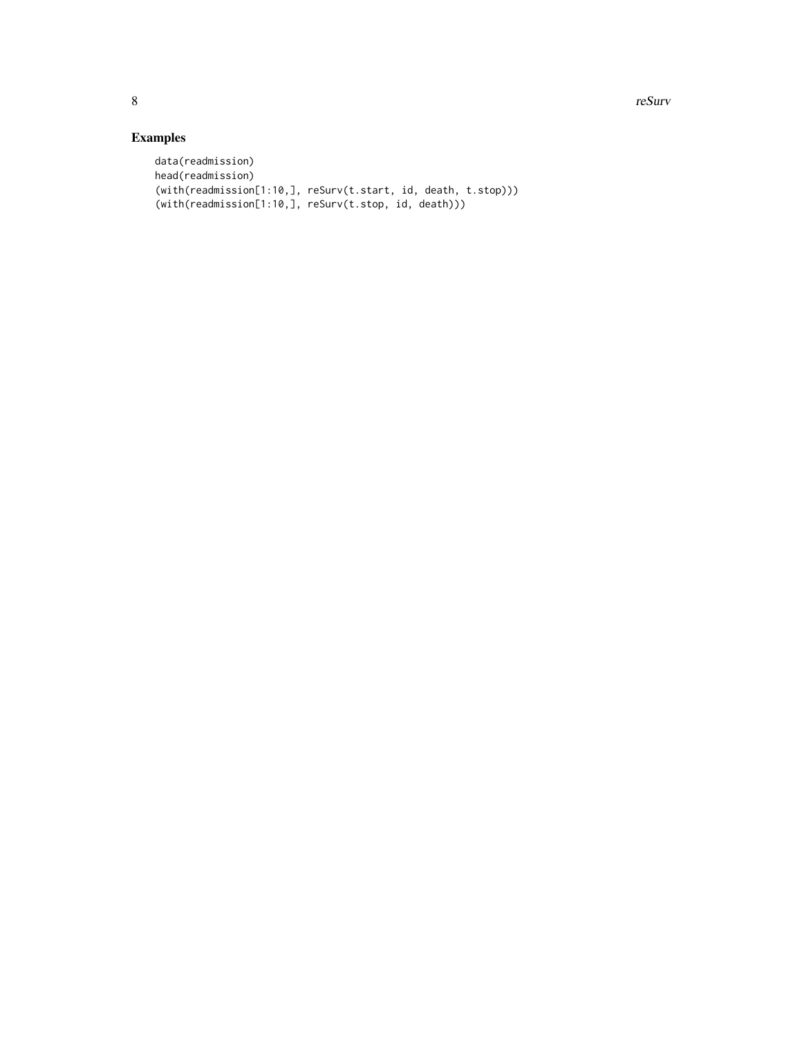8 and 2012 and 2012 and 2012 and 2012 and 2012 and 2012 and 2012 and 2012 and 2012 and 2012 and 2012 and 2012 and 2012 and 2012 and 2012 and 2012 and 2012 and 2012 and 2012 and 2012 and 2012 and 2012 and 2012 and 2012 and

### Examples

```
data(readmission)
head(readmission)
(with(readmission[1:10,], reSurv(t.start, id, death, t.stop)))
(with(readmission[1:10,], reSurv(t.stop, id, death)))
```